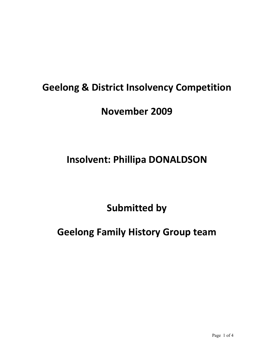#### **Geelong & District Insolvency Competition**

#### **November 2009**

# **Insolvent: Phillipa DONALDSON**

# **Submitted by**

# **Geelong Family History Group team**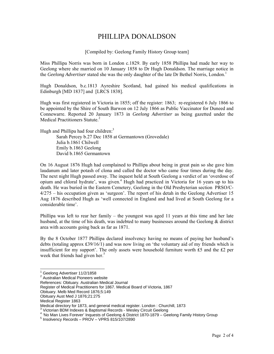#### PHILLIPA DONALDSON

[Compiled by: Geelong Family History Group team]

Miss Phillipa Norris was born in London c.1829. By early 1858 Phillipa had made her way to Geelong where she married on 10 January 1858 to Dr Hugh Donaldson. The marriage notice in the *Geelong Advertiser* stated she was the only daughter of the late Dr Bethel Norris, London.<sup>1</sup>

Hugh Donaldson, b.c.1813 Ayreshire Scotland, had gained his medical qualifications in Edinburgh [MD 1837] and [LRCS 1838].

Hugh was first registered in Victoria in 1855; off the register: 1863; re-registered 6 July 1866 to be appointed by the Shire of South Barwon on 12 July 1866 as Public Vaccinator for Duneed and Connewarre. Reported 20 January 1873 in *Geelong Advertiser* as being gazetted under the Medical Practitioners Statute.<sup>2</sup>

Hugh and Phillipa had four children:<sup>3</sup> Sarah Percey b.27 Dec 1858 at Germantown (Grovedale) Julia b.1861 Chilwell Emily b.1863 Geelong David b.1865 Germantown

On 16 August 1876 Hugh had complained to Phillipa about being in great pain so she gave him laudanum and later potash of clona and called the doctor who came four times during the day. The next night Hugh passed away. The inquest held at South Geelong a verdict of an 'overdose of opium and chloral hydrate', was given.<sup>4</sup> Hugh had practiced in Victoria for 16 years up to his death. He was buried in the Eastern Cemetery, Geelong in the Old Presbyterian section PRSO/C-4/275 – his occupation given as 'surgeon'. The report of his detah in the Geelong Advertiser 15 Aug 1876 described Hugh as 'well connected in England and had lived at South Geelong for a considerable time'.

Phillipa was left to rear her family – the youngest was aged 11 years at this time and her late husband, at the time of his death, was indebted to many businesses around the Geelong & district area with accounts going back as far as 1871.

By the 8 October 1877 Phillipa declared insolvency having no means of paying her husband's debts (totaling approx ₤39/16/1) and was now living on 'the voluntary aid of my friends which is insufficient for my support'. The only assets were household furniture worth ₤5 and the ₤2 per week that friends had given her. $5$ 

 1 Geelong Advertiser 11/2/1858

<sup>&</sup>lt;sup>2</sup> Australian Medical Pioneers website

References: Obituary. Australian Medical Journal

Register of Medical Practitioners for 1867. Medical Board of Victoria, 1867

Obituary. Melb Med Record 1876;5:149

Obituary Aust Med J 1876;21:275

Medical Register 1863

Medical directory for 1873, and general medical register. London : Churchill, 1873

 $3$  Victorian BDM Indexes & Baptismal Records - Wesley Circuit Geelong

<sup>&</sup>lt;sup>4</sup> 'No Man Lives Forever' Inquests of Geelong & District 1870-1879 – Geelong Family History Group<br>5 Inseligacy: Beesrde RROV – VRRS 815/197/3899

 $<sup>5</sup>$  Insolvency Records – PROV – VPRS 815/107/2890</sup>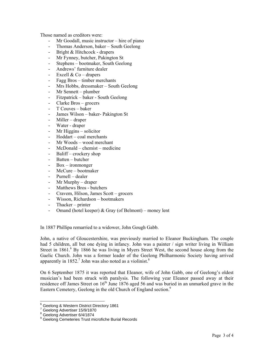Those named as creditors were:

- Mr Goodall, music instructor hire of piano
- Thomas Anderson, baker South Geelong
- Bright & Hitchcock drapers
- Mr Fynney, butcher, Pakington St
- Stephens bootmaker, South Geelong
- Andrews' furniture dealer
- Excell  $& Co drapers$
- Fagg Bros timber merchants
- Mrs Hobbs, dressmaker South Geelong
- Mr Sennett plumber
- Fitzpatrick baker South Geelong
- Clarke Bros grocers
- T Couves baker
- James Wilson baker- Pakington St
- Miller draper
- Water draper
- $Mr Higgsin s-<sub>solicitor</sub>$
- Hoddart coal merchants
- Mr Woods wood merchant
- $McDonald chemist medicine$
- Baliff crockery shop
- Batten butcher
- $Box irommonger$
- McCure bootmaker
- Purnell dealer
- Mr Murphy draper
- Matthews Bros butchers
- Cravem, Hilson, James Scott grocers
- Wisson, Richardson bootmakers
- Thacker printer
- Omand (hotel keeper)  $&$  Gray (of Belmont) money lent

In 1887 Phillipa remarried to a widower, John Gough Gabb.

John, a native of Gloucestershire, was previously married to Eleanor Buckingham. The couple had 5 children, all but one dying in infancy. John was a painter / sign writer living in William Street in 1861.<sup>6</sup> By 1866 he was living in Myers Street West, the second house along from the Gaelic Church. John was a former leader of the Geelong Philharmonic Society having arrived apparently in  $1852$ .<sup>7</sup> John was also noted as a violinist.<sup>8</sup>

On 6 September 1875 it was reported that Eleanor, wife of John Gabb, one of Geelong's oldest musician's had been struck with paralysis. The following year Eleanor passed away at their residence off James Street on  $16<sup>th</sup>$  June 1876 aged 56 and was buried in an unmarked grave in the Eastern Cemetery, Geelong in the old Church of England section.<sup>9</sup>

 6 Geelong & Western District Directory 1861

<sup>7</sup> Geelong Advertiser 15/9/1870

<sup>8</sup> Geelong Advertiser 6/4/1874

<sup>&</sup>lt;sup>9</sup> Geelong Cemeteries Trust microfiche Burial Records